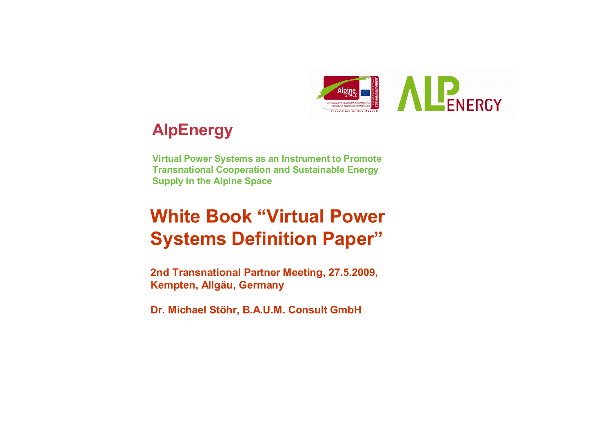

# **AlpEnergy**

**Virtual Power Systems as an Instrument to Promote Transnational Cooperation and Sustainable Energy Supply in the Alpine Space**

# **White Book "Virtual Power Systems Definition Paper"**

**2nd Transnational Partner Meeting, 27.5.2009, Kempten, Allgäu, Germany**

**Dr. Michael Stöhr, B.A.U.M. Consult GmbH**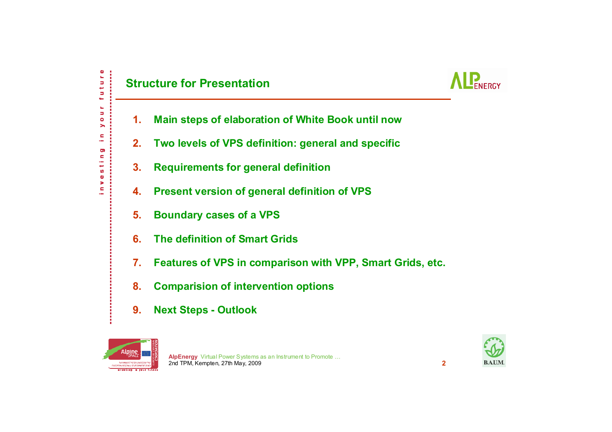

- **1.Main steps of elaboration of White Book until now**
- **2.Two levels of VPS definition: general and specific**
- **3.Requirements for general definition**
- **4.Present version of general definition of VPS**
- **5.Boundary cases of a VPS**
- **6.The definition of Smart Grids**
- **7.Features of VPS in comparison with VPP, Smart Grids, etc.**
- **8.Comparision of intervention options**
- **9.Next Steps - Outlook**



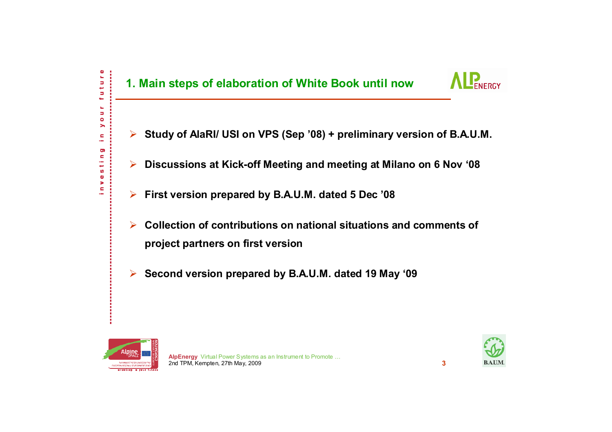

- ¾**Study of AlaRI/ USI on VPS (Sep '08) + preliminary version of B.A.U.M.**
- $\blacktriangleright$ **Discussions at Kick-off Meeting and meeting at Milano on 6 Nov '08**
- ¾**First version prepared by B.A.U.M. dated 5 Dec '08**
- $\blacktriangleright$  **Collection of contributions on national situations and comments of project partners on first version**
- $\blacktriangleright$ **Second version prepared by B.A.U.M. dated 19 May '09**



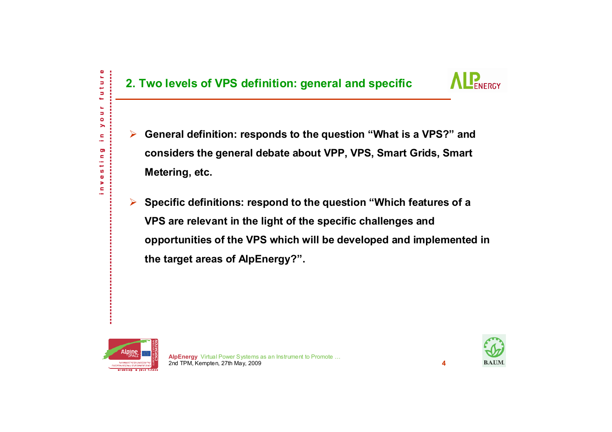

- $\blacktriangleright$  **General definition: responds to the question "What is a VPS?" and considers the general debate about VPP, VPS, Smart Grids, Smart Metering, etc.**
- ¾ **Specific definitions: respond to the question "Which features of a VPS are relevant in the light of the specific challenges and opportunities of the VPS which will be developed and implemented in the target areas of AlpEnergy?".**



ture

Ь

ш ь  $\bullet$ ⋋ c, ÷ O) c ÷ مها S  $\pmb{\Phi}$ × c

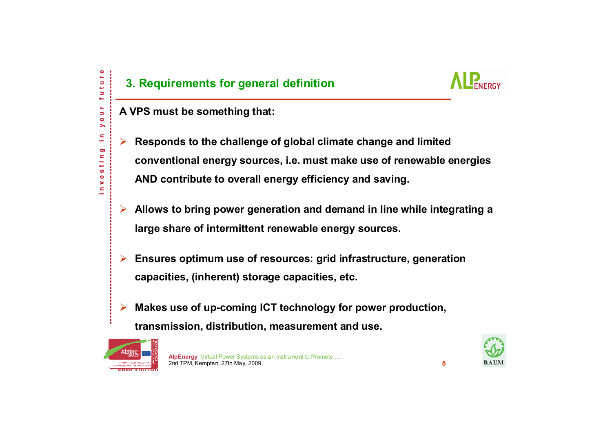c

¾

# **3. Requirements for general definition**



- **A VPS must be something that:**
	- **Responds to the challenge of global climate change and limited conventional energy sources, i.e. must make use of renewable energies AND contribute to overall energy efficiency and saving.**
- ¾ **Allows to bring power generation and demand in line while integrating a large share of intermittent renewable energy sources.**
- ¾ **Ensures optimum use of resources: grid infrastructure, generation capacities, (inherent) storage capacities, etc.**
- ¾ **Makes use of up-coming ICT technology for power production, transmission, distribution, measurement and use.**



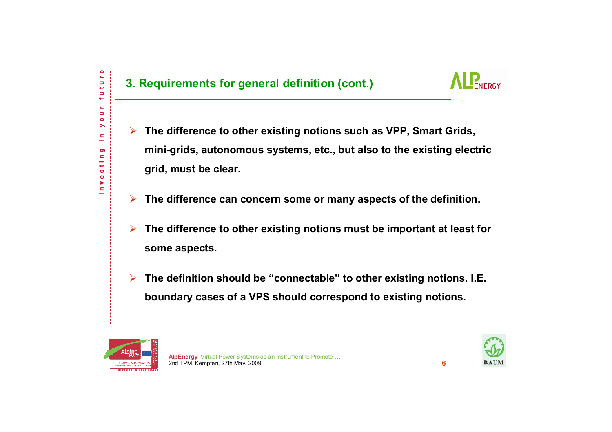Ф tur

Б ĥ, ь  $\bullet$ ▶ c. ÷ Ō) c ÷ ميد ဖာ  $\pmb{\Phi}$ × c

# **3. Requirements for general definition (cont.)**



- $\blacktriangleright$  **The difference to other existing notions such as VPP, Smart Grids, mini-grids, autonomous systems, etc., but also to the existing electric grid, must be clear.**
- ¾**The difference can concern some or many aspects of the definition.**
- ¾ **The difference to other existing notions must be important at least for some aspects.**
- ¾ **The definition should be "connectable" to other existing notions. I.E. boundary cases of a VPS should correspond to existing notions.**



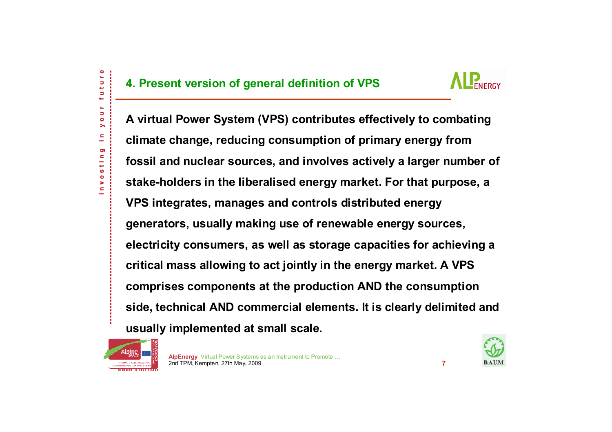

**A virtual Power System (VPS) contributes effectively to combating climate change, reducing consumption of primary energy from fossil and nuclear sources, and involves actively a larger number of stake-holders in the liberalised energy market. For that purpose, a VPS integrates, manages and controls distributed energy generators, usually making use of renewable energy sources, electricity consumers, as well as storage capacities for achieving a critical mass allowing to act jointly in the energy market. A VPS comprises components at the production AND the consumption side, technical AND commercial elements. It is clearly delimited and usually implemented at small scale.**



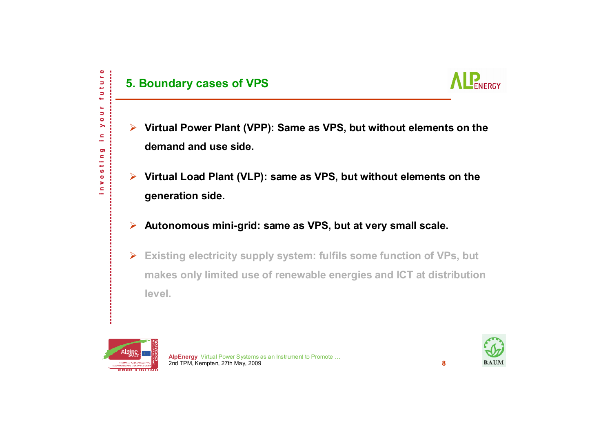## **5. Boundary cases of VPS**



- ¾ **Virtual Power Plant (VPP): Same as VPS, but without elements on the demand and use side.**
- ¾ **Virtual Load Plant (VLP): same as VPS, but without elements on the generation side.**
- ¾**Autonomous mini-grid: same as VPS, but at very small scale.**
- $\blacktriangleright$  **Existing electricity supply system: fulfils some function of VPs, but makes only limited use of renewable energies and ICT at distribution level.**



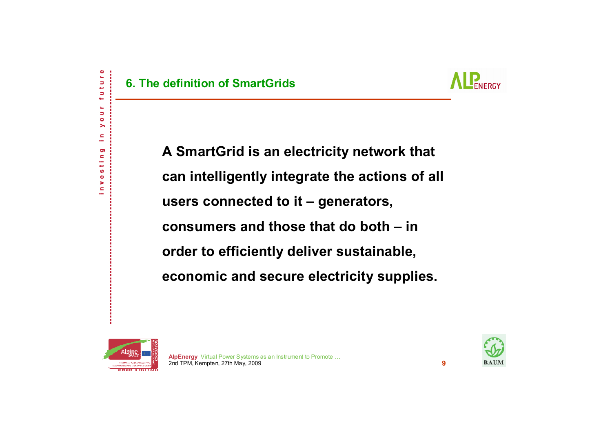

uture

ĥ, Ь  $\bullet$ > c ÷ Ō)  $\blacksquare$ فيها S  $\bullet$ × ċ



**A SmartGrid is an electricity network that can intelligently integrate the actions of all users connected to it – generators, consumers and those that do both – in order to efficiently deliver sustainable, economic and secure electricity supplies.**



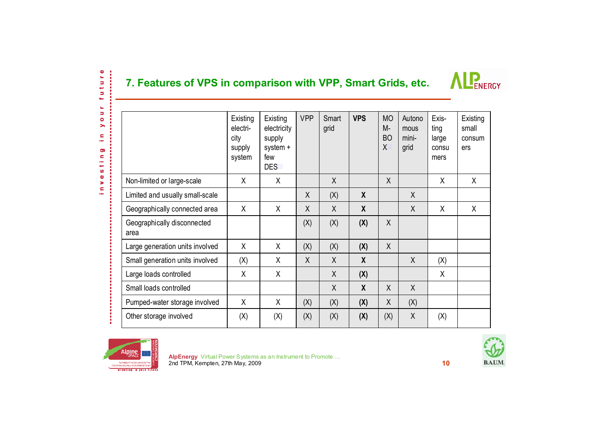#### **7. Features of VPS in comparison with VPP, Smart Grids, etc.**



|                                     | Existing<br>electri-<br>city<br>supply<br>system | Existing<br>electricity<br>supply<br>system +<br>few<br>DES <sup>[1]</sup> | <b>VPP</b> | Smart<br>grid | <b>VPS</b>       | <b>MO</b><br>M-<br><b>BO</b><br>$\sf X$ | Autono<br>mous<br>mini-<br>grid | Exis-<br>ting<br>large<br>consu<br>mers | Existing<br>small<br>consum<br>ers |
|-------------------------------------|--------------------------------------------------|----------------------------------------------------------------------------|------------|---------------|------------------|-----------------------------------------|---------------------------------|-----------------------------------------|------------------------------------|
| Non-limited or large-scale          | X                                                | X                                                                          |            | X             |                  | X                                       |                                 | X                                       | X                                  |
| Limited and usually small-scale     |                                                  |                                                                            | X          | (X)           | X                |                                         | X                               |                                         |                                    |
| Geographically connected area       | X                                                | X                                                                          | X          | $\sf X$       | $\boldsymbol{X}$ |                                         | $\sf X$                         | X                                       | X                                  |
| Geographically disconnected<br>area |                                                  |                                                                            | (X)        | (X)           | (X)              | X                                       |                                 |                                         |                                    |
| Large generation units involved     | X                                                | X                                                                          | (X)        | (X)           | (X)              | X                                       |                                 |                                         |                                    |
| Small generation units involved     | (X)                                              | X                                                                          | X          | X             | $\boldsymbol{X}$ |                                         | X                               | (X)                                     |                                    |
| Large loads controlled              | X                                                | X                                                                          |            | X             | (X)              |                                         |                                 | X                                       |                                    |
| Small loads controlled              |                                                  |                                                                            |            | X             | $\boldsymbol{X}$ | X                                       | X                               |                                         |                                    |
| Pumped-water storage involved       | X                                                | X                                                                          | (X)        | (X)           | (X)              | X                                       | (X)                             |                                         |                                    |
| Other storage involved              | (X)                                              | (X)                                                                        | (X)        | (X)           | (X)              | (X)                                     | X                               | (X)                                     |                                    |



future

k, Ы  $\bullet$  $\blacktriangleright$ c, in 1 Ō) c,  $\sim$ مير S,  $\pmb{\Phi}$ 5 c ц.

×

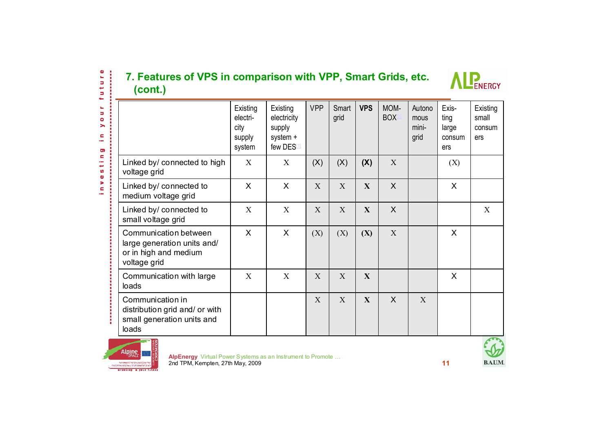#### **7. Features of VPS in comparison with VPP, Smart Grids, etc. (cont.)**



| (cont.)                                                                                       | 7. Features of VPS in comparison with VPP, Smart Grids, etc. |                                                          |              |               |              |                    |                                 | <b>ENERGY</b>                           |                                    |
|-----------------------------------------------------------------------------------------------|--------------------------------------------------------------|----------------------------------------------------------|--------------|---------------|--------------|--------------------|---------------------------------|-----------------------------------------|------------------------------------|
|                                                                                               | Existing<br>electri-<br>city<br>supply<br>system             | Existing<br>electricity<br>supply<br>system +<br>few DES | <b>VPP</b>   | Smart<br>grid | <b>VPS</b>   | MOM-<br><b>BOX</b> | Autono<br>mous<br>mini-<br>grid | Exis-<br>ting<br>large<br>consum<br>ers | Existing<br>small<br>consum<br>ers |
| Linked by/ connected to high<br>voltage grid                                                  | X                                                            | X                                                        | (X)          | (X)           | (X)          | X                  |                                 | (X)                                     |                                    |
| Linked by/ connected to<br>medium voltage grid                                                | X                                                            | $\mathsf{X}$                                             | X            | X             | $\mathbf{X}$ | $\sf X$            |                                 | X                                       |                                    |
| Linked by/ connected to<br>small voltage grid                                                 | X                                                            | X                                                        | X            | X             | $\mathbf{X}$ | $\sf X$            |                                 |                                         | X                                  |
| Communication between<br>large generation units and/<br>or in high and medium<br>voltage grid | X                                                            | $\mathsf{X}$                                             | (X)          | (X)           | (X)          | X                  |                                 | X                                       |                                    |
| Communication with large<br>loads                                                             | X                                                            | X                                                        | X            | X             | $\mathbf{X}$ |                    |                                 | X                                       |                                    |
| Communication in<br>distribution grid and/ or with<br>small generation units and<br>loads     |                                                              |                                                          | $\mathbf{X}$ | X             | $\mathbf{X}$ | $\mathsf{X}$       | X                               |                                         |                                    |



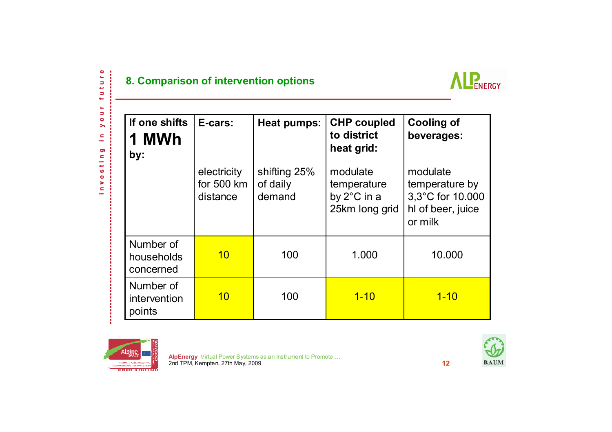$\sim$ 

#### **8. Comparison of intervention options**



| If one shifts<br>1 MWh<br>by:        | E-cars:                               | Heat pumps:                        | <b>CHP coupled</b><br>to district<br>heat grid:          | <b>Cooling of</b><br>beverages:                                                |  |  |
|--------------------------------------|---------------------------------------|------------------------------------|----------------------------------------------------------|--------------------------------------------------------------------------------|--|--|
|                                      | electricity<br>for 500 km<br>distance | shifting 25%<br>of daily<br>demand | modulate<br>temperature<br>by 2°C in a<br>25km long grid | modulate<br>temperature by<br>3,3°C for 10.000<br>hl of beer, juice<br>or milk |  |  |
| Number of<br>households<br>concerned | 10                                    | 100                                | 1.000                                                    | 10.000                                                                         |  |  |
| Number of<br>intervention<br>points  | 10                                    | 100                                | $1 - 10$                                                 | $1 - 10$                                                                       |  |  |